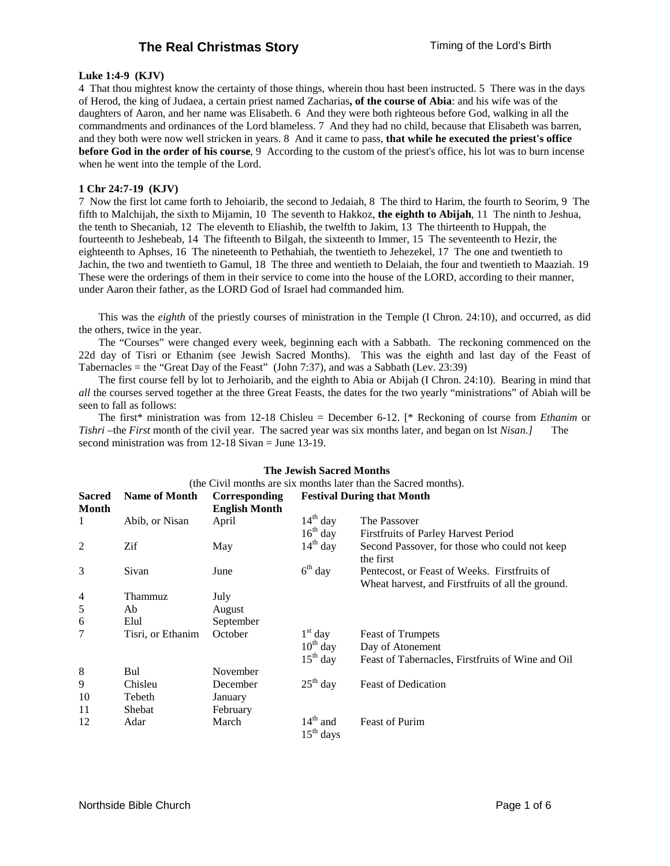# **The Real Christmas Story Timing of the Lord's Birth**

## **Luke 1:4-9 (KJV)**

4 That thou mightest know the certainty of those things, wherein thou hast been instructed. 5 There was in the days of Herod, the king of Judaea, a certain priest named Zacharias**, of the course of Abia**: and his wife was of the daughters of Aaron, and her name was Elisabeth. 6 And they were both righteous before God, walking in all the commandments and ordinances of the Lord blameless. 7 And they had no child, because that Elisabeth was barren, and they both were now well stricken in years. 8 And it came to pass, **that while he executed the priest's office before God in the order of his course**, 9 According to the custom of the priest's office, his lot was to burn incense when he went into the temple of the Lord.

## **1 Chr 24:7-19 (KJV)**

7 Now the first lot came forth to Jehoiarib, the second to Jedaiah, 8 The third to Harim, the fourth to Seorim, 9 The fifth to Malchijah, the sixth to Mijamin, 10 The seventh to Hakkoz, **the eighth to Abijah**, 11 The ninth to Jeshua, the tenth to Shecaniah, 12 The eleventh to Eliashib, the twelfth to Jakim, 13 The thirteenth to Huppah, the fourteenth to Jeshebeab, 14 The fifteenth to Bilgah, the sixteenth to Immer, 15 The seventeenth to Hezir, the eighteenth to Aphses, 16 The nineteenth to Pethahiah, the twentieth to Jehezekel, 17 The one and twentieth to Jachin, the two and twentieth to Gamul, 18 The three and wentieth to Delaiah, the four and twentieth to Maaziah. 19 These were the orderings of them in their service to come into the house of the LORD, according to their manner, under Aaron their father, as the LORD God of Israel had commanded him.

This was the *eighth* of the priestly courses of ministration in the Temple (I Chron. 24:10), and occurred, as did the others, twice in the year.

The "Courses" were changed every week, beginning each with a Sabbath. The reckoning commenced on the 22d day of Tisri or Ethanim (see Jewish Sacred Months). This was the eighth and last day of the Feast of Tabernacles = the "Great Day of the Feast" (John 7:37), and was a Sabbath (Lev. 23:39)

The first course fell by lot to Jerhoiarib, and the eighth to Abia or Abijah (I Chron. 24:10). Bearing in mind that *all* the courses served together at the three Great Feasts, the dates for the two yearly "ministrations" of Abiah will be seen to fall as follows:

The first\* ministration was from 12-18 Chisleu = December 6-12. [\* Reckoning of course from *Ethanim* or *Tishri* –the *First* month of the civil year. The sacred year was six months later, and began on lst *Nisan.*] second ministration was from 12-18 Sivan = June 13-19.

| The Jewish Sacred Months                                        |                      |                      |                                   |                                                                                                   |  |  |  |  |
|-----------------------------------------------------------------|----------------------|----------------------|-----------------------------------|---------------------------------------------------------------------------------------------------|--|--|--|--|
| (the Civil months are six months later than the Sacred months). |                      |                      |                                   |                                                                                                   |  |  |  |  |
| <b>Sacred</b>                                                   | <b>Name of Month</b> | Corresponding        | <b>Festival During that Month</b> |                                                                                                   |  |  |  |  |
| Month                                                           |                      | <b>English Month</b> |                                   |                                                                                                   |  |  |  |  |
| 1                                                               | Abib, or Nisan       | April                | $14th$ day                        | The Passover                                                                                      |  |  |  |  |
|                                                                 |                      |                      | $16th$ day                        | Firstfruits of Parley Harvest Period                                                              |  |  |  |  |
| 2                                                               | Zif                  | May                  | $14th$ day                        | Second Passover, for those who could not keep<br>the first                                        |  |  |  |  |
| 3                                                               | Sivan                | June                 | $6th$ day                         | Pentecost, or Feast of Weeks. Firstfruits of<br>Wheat harvest, and Firstfruits of all the ground. |  |  |  |  |
| 4                                                               | Thammuz              | July                 |                                   |                                                                                                   |  |  |  |  |
| 5                                                               | Ab                   | August               |                                   |                                                                                                   |  |  |  |  |
| 6                                                               | Elul                 | September            |                                   |                                                                                                   |  |  |  |  |
| 7                                                               | Tisri, or Ethanim    | October              | $1st$ day                         | <b>Feast of Trumpets</b>                                                                          |  |  |  |  |
|                                                                 |                      |                      | $10^{th}$ day                     | Day of Atonement                                                                                  |  |  |  |  |
|                                                                 |                      |                      | $15th$ day                        | Feast of Tabernacles, First fruits of Wine and Oil                                                |  |  |  |  |
| 8                                                               | Bul                  | November             |                                   |                                                                                                   |  |  |  |  |
| 9                                                               | Chisleu              | December             | $25th$ day                        | <b>Feast of Dedication</b>                                                                        |  |  |  |  |
| 10                                                              | Tebeth               | January              |                                   |                                                                                                   |  |  |  |  |
| 11                                                              | Shebat               | February             |                                   |                                                                                                   |  |  |  |  |
| 12                                                              | Adar                 | March                | $14th$ and<br>$15th$ days         | <b>Feast of Purim</b>                                                                             |  |  |  |  |

#### **The Jewish Sacred Months**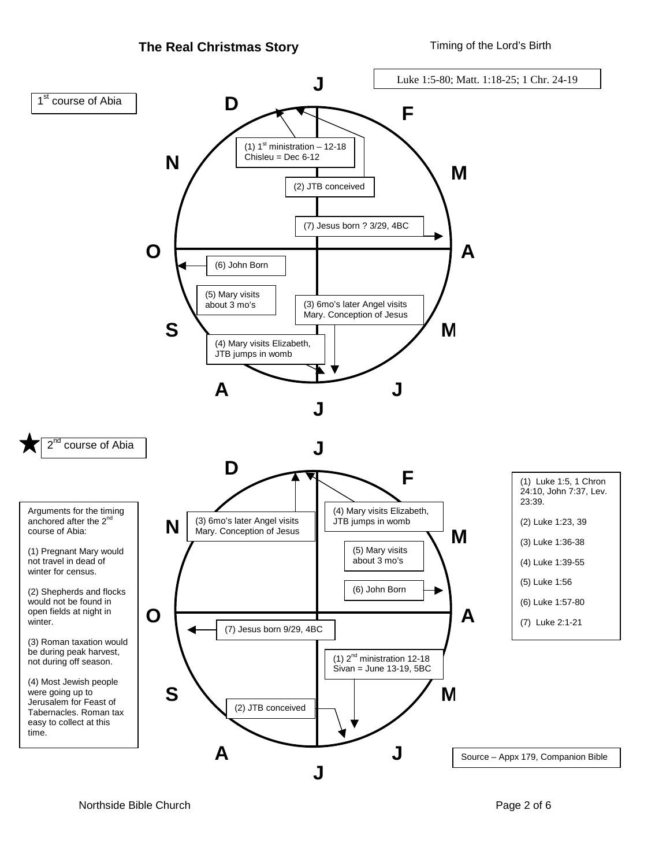

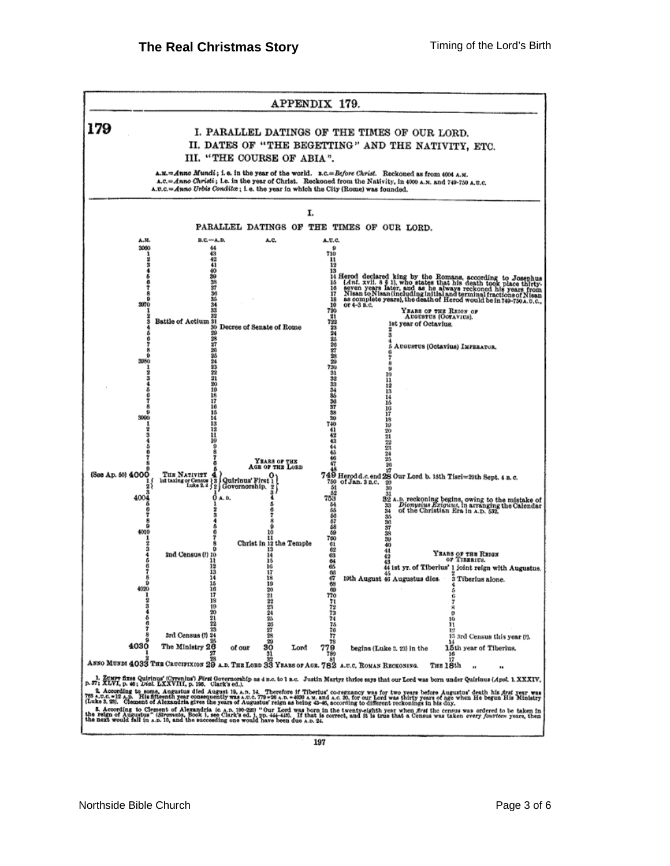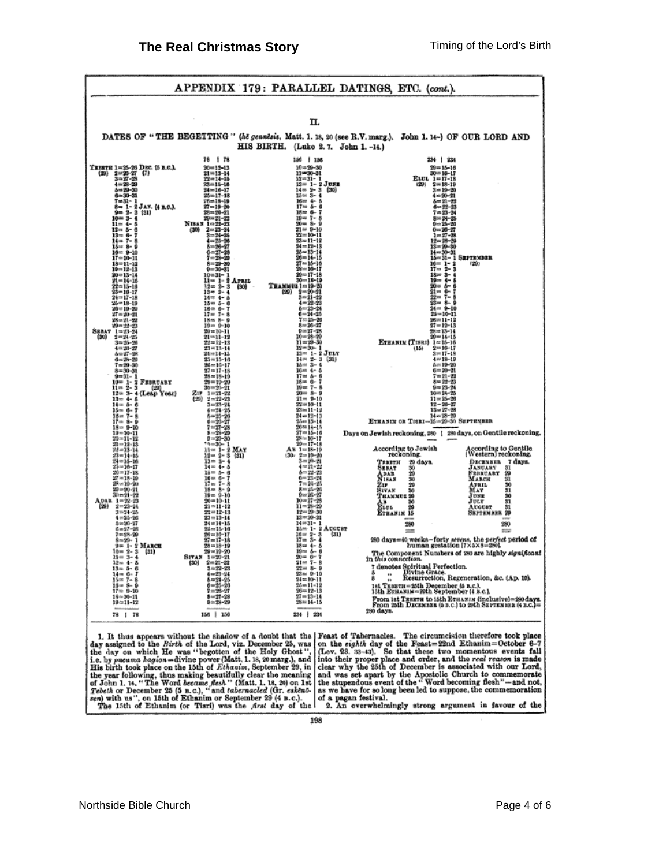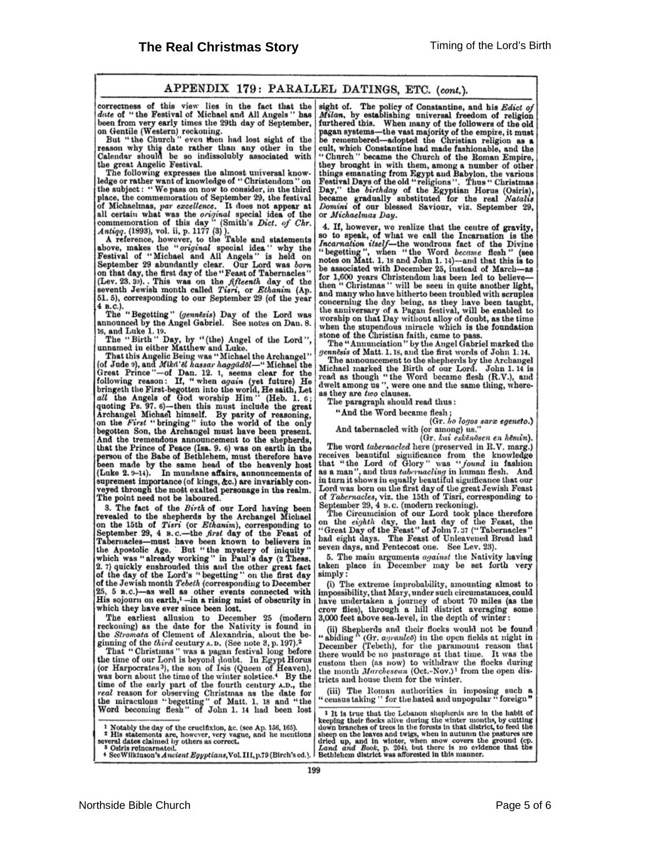### APPENDIX 179: PARALLEL DATINGS, ETC. (cont.).

correctness of this view lies in the fact that the date of "the Festival of Michael and All Angels" has

active of "the result vines the 29th day of September,<br>on Gentine (Western) reckoning.<br>On Gentile (Western) reckoning.<br>But "the Church" even then had lost sight of the<br>reason why this date rather than any other in the<br>Cale the great Angelic Festival.

The following expresses the almost universal knowledge or rather want of knowledge of "Christendom" on the subject: "We pass on now to consider, in the third

Less of the subject: "We pass on now to consider, in the third<br>place, the commemoration of September 29, the festival<br>of Michaelmas, par excellence. It does not appear at<br>all certain what was the *original* special idea o

4 n.c.).<br>The "Begetting" (genuesis) Day of the Lord was<br>announced by the Angel Gabriel. See notes on Dan. 8.

amounced by the Angel Gabriel. See notes on Dan. 8.<br>
16, and Luke 1. 19.<br>
The "Birth" Day, by "(the) Angel of the Lord",<br>
unamed in either Matthew and Luke.<br>
That this Augelic Being was "Michael the Archangel"<br>
(of Jude 9 And the tremendous announcement to the shepherds, that the Prince of Peace (Isa. 9, 6) was on earth in the that the Frince of Peace (1sa. 9. 6) was on earth in the<br>person of the Babe of Bethlehem, must therefore have<br>been made by the same head of the heavenly host<br>(Luke 2.9-14). In mundane affairs, announcements of<br>supremest i

3. The fact of the *Birth* of our Lord having been<br>revealed to the shepherds by the Archangel Michael<br>on the 15th of *Tisri* (or *Ethanim*), corresponding to<br>September 29, 4 s.c.—the *first* day of the Feast of of the Jewish month Tebeth (corresponding to December 25, 5 B.C.)—as well as other events connected with<br>His sojourn on earth,<sup>1</sup>—in a rising mist of obscurity in which they have ever since been lost.

The earliest allusion to December 25 (modern reckoning) as the date for the Nativity is found in the Stromata of Clement of Alexandria, about the beginning of the third century A.D. (See note 3, p. 197).<sup>2</sup><br>That "Christmas" was a pagan festival long before

That Current of our Lord is beyond doubt. In Egypt Horus<br>(or Harpocrates<sup>3</sup>), the son of Isis (Queen of Heaven),<br>was born about the time of the winter solstice.<sup>4</sup> By the time of the early part of the fourth century A.D., the real reason for observing Christmas as the date for<br>the miraculons "begetting" of Matt. 1. 18 and "the<br>Word becoming flesh" of John 1. 14 had been lost

<sup>1</sup> Notably the day of the crucifixion, &c. (see Ap. 156, 165).<br>
<sup>2</sup> His statements are, however, very vague, and he mentions several dates claimed by others as correct.<br>
<sup>3</sup> Osiris reincarnated.

4 See Wilkinson's Ancient Egyptians, Vol. III, p.79 (Birch's ed.).

sight of. The policy of Constantine, and his Edict of Milan, by establishing universal freedom of religion param, by essentially universal freedom of reingion<br>furthered this. When many of the followers of the old<br>pagan systems—the vast majority of the empire, it must<br>be remembered—adopted the Christian religion as a<br>cult, which "Church " became the Church of the Koman Empire, they brought in with them, among a number of other things emanating from Egypt and Babylon, the various Festival Days of the old "religions". Thus "Christmas Day," the birt or Michaelmas Day.

4. If, however, we realize that the centre of gravity,<br>so to speak, of what we call the Incarnation is the<br>*Incarnation itself*—the wondrous fact of the Divine<br>"begetting", when "the Word *became* flesh" (see<br>notes on Mat for 1,600 years Christendom has been led to believe then "Christmas" will be seen in quite another light, and many who have hitherto been troubled with scruples concerning the day being, as they have been taught,<br>the anniversary of a Pagan festival, will be enabled to<br>worship on that Day without alloy of doubt, as the time<br>when the stupendous miracle which is the foundation stone of the Christian faith, came to pass.<br>The "Annunciation" by the Angel Gabriel marked the

gennesis of Matt. 1.18, and the first words of John 1:14. The announcement to the shepherds by the Archangel<br>Michael marked the Birth of our Lord. John 1. 14 is<br>read as though "the Word became flesh (R.V.), and<br>dwelt among us ", were one and the same thing, whereas they are two clauses.

The paragraph should read thus:

"And the Word became flesh;

# (Gr. ho logos sarx egeneto.)

And tabernacled with (or among) us."<br>(Gr. kai eskēnōsen en hēmin). The word tabernacled here (preserved in R.V. marg.) receives beautiful significance from the knowledge that "the Lord of Glory" was "found in fashion as a man", and thus tabernacting in human flesh. And in turn it shows in equally beautiful significance that our Lord was born on the first day of the great Jewish Feast

Lord was born on the first day of the great Jewish Feast<br>of *Tabernacles*, viz. the 15th of Tisri, corresponding to<br>September 29, 4 B.C. (modern reckoning).<br>The Circumcision of our Lord took place therefore<br>on the *eighth* 

5. The main arguments against the Nativity having taken place in December may be set forth very simply:

 $(i)$  The extreme improbability, amounting almost to impossibility, that Mary, under such circumstances, could have undertaken a journey of about 70 miles (as the crow flies), through a hill district averaging some 3,000 feet above sea-level, in the depth of winter:

(ii) Shepherds and their flocks would not be found<br>"abiding" (Gr.  $a^{\alpha}$  and  $b^{\alpha}$ ) in the open fields at night in<br>December (Tebeth), for the paramount reason that there would be no pasturage at that time. It was the custom then (as now) to withdraw the flocks during the month *Marchesvan* (Oct.-Nov.)<sup>1</sup> from the open districts and house them for the winter.

(iii) The Roman authorities in imposing such a<br>'censustaking'' for the hated and unpopular "foreign"

<sup>1</sup> It is true that the Lebanon shepherds are in the habit of For the time time term constant interpret with the september of the seeing their flocks alive during the winter months, by cutting down branches of trees in the forests in that district, to feed the sheep on the leaves an